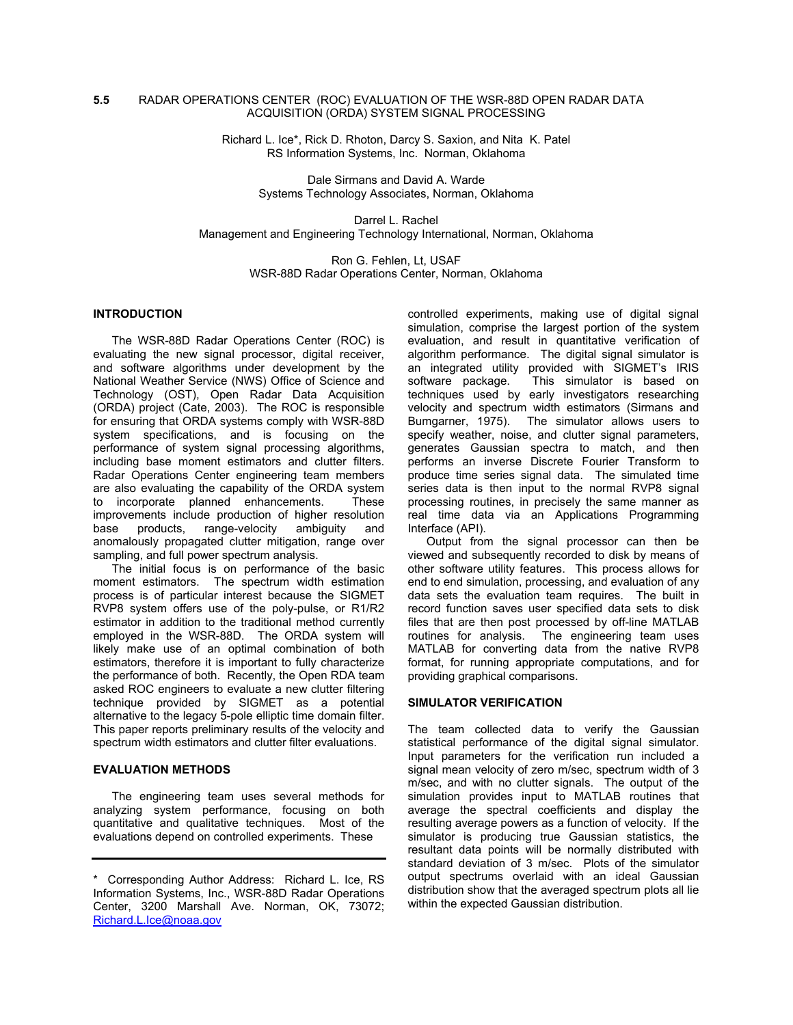## **5.5** RADAR OPERATIONS CENTER (ROC) EVALUATION OF THE WSR-88D OPEN RADAR DATA ACQUISITION (ORDA) SYSTEM SIGNAL PROCESSING

Richard L. Ice\*, Rick D. Rhoton, Darcy S. Saxion, and Nita K. Patel RS Information Systems, Inc. Norman, Oklahoma

> Dale Sirmans and David A. Warde Systems Technology Associates, Norman, Oklahoma

Darrel L. Rachel Management and Engineering Technology International, Norman, Oklahoma

> Ron G. Fehlen, Lt, USAF WSR-88D Radar Operations Center, Norman, Oklahoma

#### **INTRODUCTION**

The WSR-88D Radar Operations Center (ROC) is evaluating the new signal processor, digital receiver, and software algorithms under development by the National Weather Service (NWS) Office of Science and Technology (OST), Open Radar Data Acquisition (ORDA) project (Cate, 2003). The ROC is responsible for ensuring that ORDA systems comply with WSR-88D system specifications, and is focusing on the performance of system signal processing algorithms, including base moment estimators and clutter filters. Radar Operations Center engineering team members are also evaluating the capability of the ORDA system to incorporate planned enhancements. These improvements include production of higher resolution base products, range-velocity ambiguity and anomalously propagated clutter mitigation, range over sampling, and full power spectrum analysis.

The initial focus is on performance of the basic moment estimators. The spectrum width estimation process is of particular interest because the SIGMET RVP8 system offers use of the poly-pulse, or R1/R2 estimator in addition to the traditional method currently employed in the WSR-88D. The ORDA system will likely make use of an optimal combination of both estimators, therefore it is important to fully characterize the performance of both. Recently, the Open RDA team asked ROC engineers to evaluate a new clutter filtering technique provided by SIGMET as a potential alternative to the legacy 5-pole elliptic time domain filter. This paper reports preliminary results of the velocity and spectrum width estimators and clutter filter evaluations.

# **EVALUATION METHODS**

The engineering team uses several methods for analyzing system performance, focusing on both quantitative and qualitative techniques. Most of the evaluations depend on controlled experiments. These

controlled experiments, making use of digital signal simulation, comprise the largest portion of the system evaluation, and result in quantitative verification of algorithm performance. The digital signal simulator is an integrated utility provided with SIGMET's IRIS software package. This simulator is based on techniques used by early investigators researching velocity and spectrum width estimators (Sirmans and Bumgarner, 1975). The simulator allows users to specify weather, noise, and clutter signal parameters, generates Gaussian spectra to match, and then performs an inverse Discrete Fourier Transform to produce time series signal data. The simulated time series data is then input to the normal RVP8 signal processing routines, in precisely the same manner as real time data via an Applications Programming Interface (API).

Output from the signal processor can then be viewed and subsequently recorded to disk by means of other software utility features. This process allows for end to end simulation, processing, and evaluation of any data sets the evaluation team requires. The built in record function saves user specified data sets to disk files that are then post processed by off-line MATLAB routines for analysis. The engineering team uses MATLAB for converting data from the native RVP8 format, for running appropriate computations, and for providing graphical comparisons.

#### **SIMULATOR VERIFICATION**

The team collected data to verify the Gaussian statistical performance of the digital signal simulator. Input parameters for the verification run included a signal mean velocity of zero m/sec, spectrum width of 3 m/sec, and with no clutter signals. The output of the simulation provides input to MATLAB routines that average the spectral coefficients and display the resulting average powers as a function of velocity. If the simulator is producing true Gaussian statistics, the resultant data points will be normally distributed with standard deviation of 3 m/sec. Plots of the simulator output spectrums overlaid with an ideal Gaussian distribution show that the averaged spectrum plots all lie within the expected Gaussian distribution.

<sup>\*</sup> Corresponding Author Address: Richard L. Ice, RS Information Systems, Inc., WSR-88D Radar Operations Center, 3200 Marshall Ave. Norman, OK, 73072; Richard.L.Ice@noaa.gov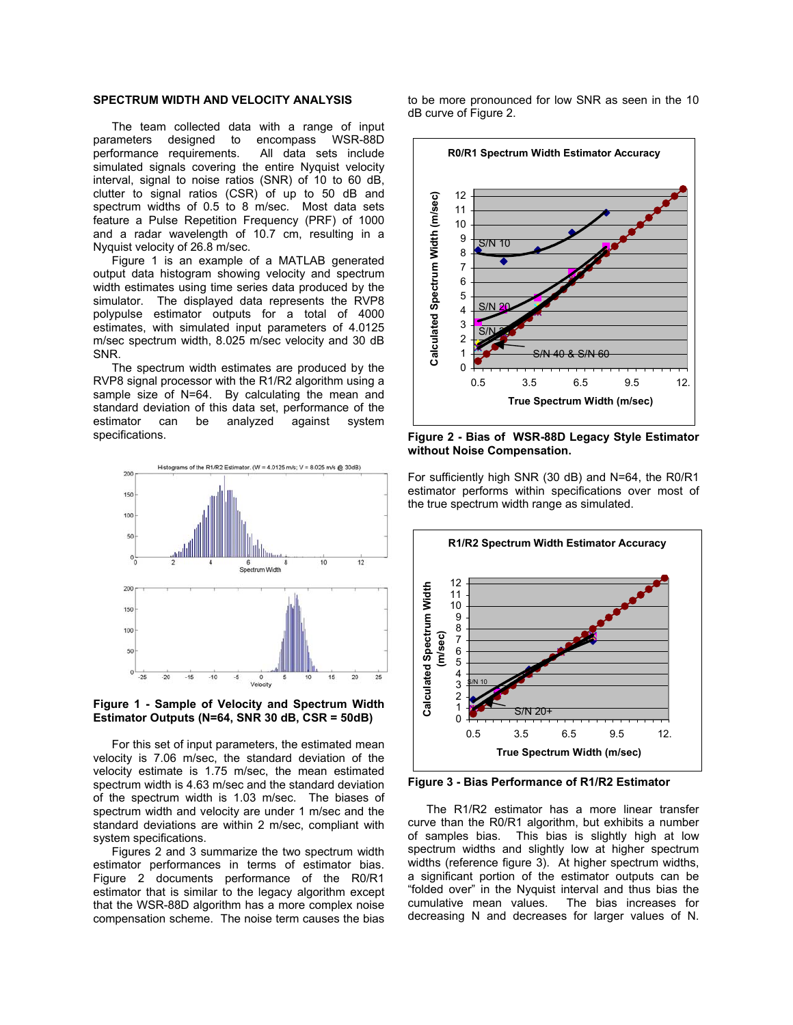## **SPECTRUM WIDTH AND VELOCITY ANALYSIS**

The team collected data with a range of input parameters designed to encompass WSR-88D performance requirements. All data sets include simulated signals covering the entire Nyquist velocity interval, signal to noise ratios (SNR) of 10 to 60 dB, clutter to signal ratios (CSR) of up to 50 dB and spectrum widths of 0.5 to 8 m/sec. Most data sets feature a Pulse Repetition Frequency (PRF) of 1000 and a radar wavelength of 10.7 cm, resulting in a Nyquist velocity of 26.8 m/sec.

Figure 1 is an example of a MATLAB generated output data histogram showing velocity and spectrum width estimates using time series data produced by the simulator. The displayed data represents the RVP8 polypulse estimator outputs for a total of 4000 estimates, with simulated input parameters of 4.0125 m/sec spectrum width, 8.025 m/sec velocity and 30 dB SNR.

The spectrum width estimates are produced by the RVP8 signal processor with the R1/R2 algorithm using a sample size of N=64. By calculating the mean and standard deviation of this data set, performance of the estimator can be analyzed against system specifications.





For this set of input parameters, the estimated mean velocity is 7.06 m/sec, the standard deviation of the velocity estimate is 1.75 m/sec, the mean estimated spectrum width is 4.63 m/sec and the standard deviation of the spectrum width is 1.03 m/sec. The biases of spectrum width and velocity are under 1 m/sec and the standard deviations are within 2 m/sec, compliant with system specifications.

Figures 2 and 3 summarize the two spectrum width estimator performances in terms of estimator bias. Figure 2 documents performance of the R0/R1 estimator that is similar to the legacy algorithm except that the WSR-88D algorithm has a more complex noise compensation scheme. The noise term causes the bias

to be more pronounced for low SNR as seen in the 10 dB curve of Figure 2.



**Figure 2 - Bias of WSR-88D Legacy Style Estimator without Noise Compensation.** 

For sufficiently high SNR (30 dB) and N=64, the R0/R1 estimator performs within specifications over most of the true spectrum width range as simulated.



**Figure 3 - Bias Performance of R1/R2 Estimator**

The R1/R2 estimator has a more linear transfer curve than the R0/R1 algorithm, but exhibits a number of samples bias. This bias is slightly high at low spectrum widths and slightly low at higher spectrum widths (reference figure 3). At higher spectrum widths, a significant portion of the estimator outputs can be "folded over" in the Nyquist interval and thus bias the cumulative mean values. The bias increases for decreasing N and decreases for larger values of N.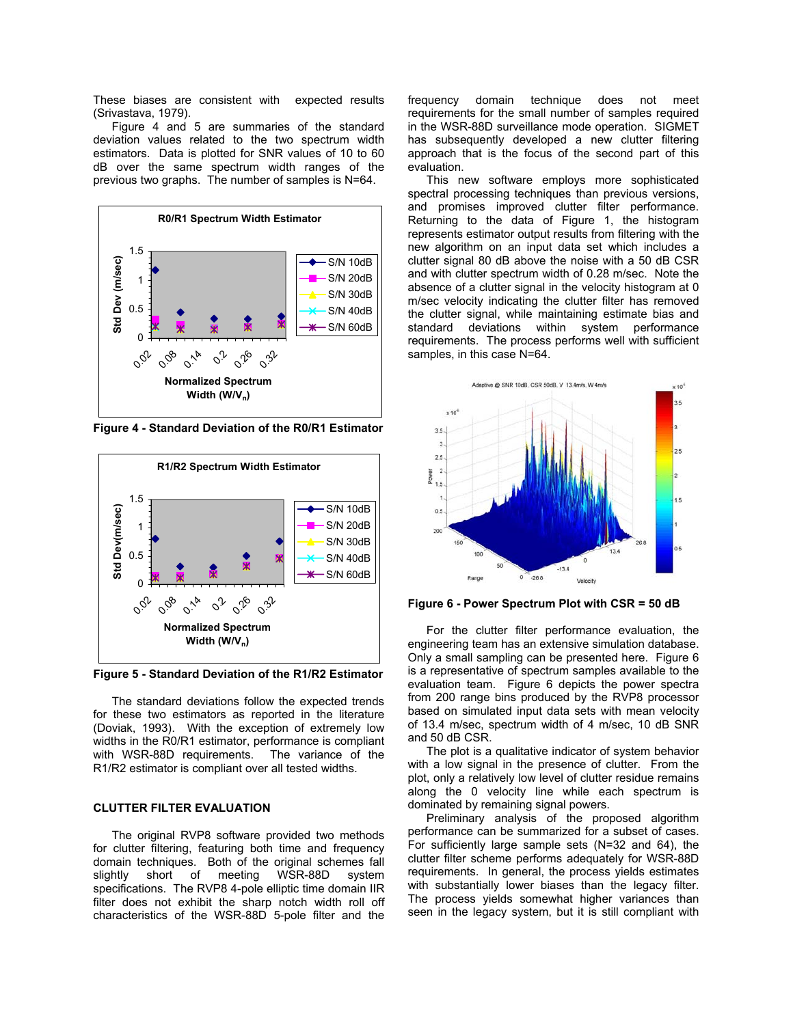These biases are consistent with expected results (Srivastava, 1979).

Figure 4 and 5 are summaries of the standard deviation values related to the two spectrum width estimators. Data is plotted for SNR values of 10 to 60 dB over the same spectrum width ranges of the previous two graphs. The number of samples is N=64.



**Figure 4 - Standard Deviation of the R0/R1 Estimator**



**Figure 5 - Standard Deviation of the R1/R2 Estimator** 

The standard deviations follow the expected trends for these two estimators as reported in the literature (Doviak, 1993). With the exception of extremely low widths in the R0/R1 estimator, performance is compliant with WSR-88D requirements. The variance of the R1/R2 estimator is compliant over all tested widths.

### **CLUTTER FILTER EVALUATION**

The original RVP8 software provided two methods for clutter filtering, featuring both time and frequency domain techniques. Both of the original schemes fall slightly short of meeting WSR-88D system specifications. The RVP8 4-pole elliptic time domain IIR filter does not exhibit the sharp notch width roll off characteristics of the WSR-88D 5-pole filter and the

frequency domain technique does not meet requirements for the small number of samples required in the WSR-88D surveillance mode operation. SIGMET has subsequently developed a new clutter filtering approach that is the focus of the second part of this evaluation.

This new software employs more sophisticated spectral processing techniques than previous versions, and promises improved clutter filter performance. Returning to the data of Figure 1, the histogram represents estimator output results from filtering with the new algorithm on an input data set which includes a clutter signal 80 dB above the noise with a 50 dB CSR and with clutter spectrum width of 0.28 m/sec. Note the absence of a clutter signal in the velocity histogram at 0 m/sec velocity indicating the clutter filter has removed the clutter signal, while maintaining estimate bias and standard deviations within system performance requirements. The process performs well with sufficient samples, in this case N=64.



**Figure 6 - Power Spectrum Plot with CSR = 50 dB**

For the clutter filter performance evaluation, the engineering team has an extensive simulation database. Only a small sampling can be presented here. Figure 6 is a representative of spectrum samples available to the evaluation team. Figure 6 depicts the power spectra from 200 range bins produced by the RVP8 processor based on simulated input data sets with mean velocity of 13.4 m/sec, spectrum width of 4 m/sec, 10 dB SNR and 50 dB CSR.

The plot is a qualitative indicator of system behavior with a low signal in the presence of clutter. From the plot, only a relatively low level of clutter residue remains along the 0 velocity line while each spectrum is dominated by remaining signal powers.

Preliminary analysis of the proposed algorithm performance can be summarized for a subset of cases. For sufficiently large sample sets (N=32 and 64), the clutter filter scheme performs adequately for WSR-88D requirements. In general, the process yields estimates with substantially lower biases than the legacy filter. The process yields somewhat higher variances than seen in the legacy system, but it is still compliant with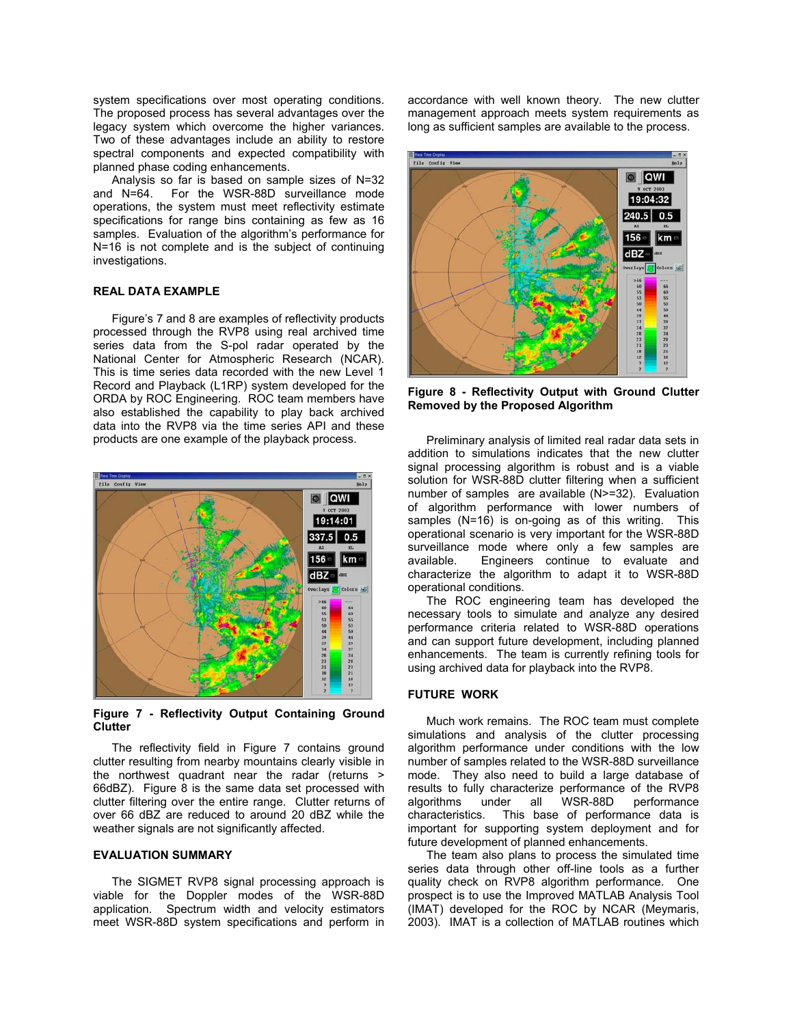system specifications over most operating conditions. The proposed process has several advantages over the legacy system which overcome the higher variances. Two of these advantages include an ability to restore spectral components and expected compatibility with planned phase coding enhancements.

Analysis so far is based on sample sizes of N=32 and N=64. For the WSR-88D surveillance mode operations, the system must meet reflectivity estimate specifications for range bins containing as few as 16 samples. Evaluation of the algorithm's performance for N=16 is not complete and is the subject of continuing investigations.

# **REAL DATA EXAMPLE**

Figure's 7 and 8 are examples of reflectivity products processed through the RVP8 using real archived time series data from the S-pol radar operated by the National Center for Atmospheric Research (NCAR). This is time series data recorded with the new Level 1 Record and Playback (L1RP) system developed for the ORDA by ROC Engineering. ROC team members have also established the capability to play back archived data into the RVP8 via the time series API and these products are one example of the playback process.



**Figure 7 - Reflectivity Output Containing Ground Clutter** 

The reflectivity field in Figure 7 contains ground clutter resulting from nearby mountains clearly visible in the northwest quadrant near the radar (returns > 66dBZ). Figure 8 is the same data set processed with clutter filtering over the entire range. Clutter returns of over 66 dBZ are reduced to around 20 dBZ while the weather signals are not significantly affected.

## **EVALUATION SUMMARY**

The SIGMET RVP8 signal processing approach is viable for the Doppler modes of the WSR-88D application. Spectrum width and velocity estimators meet WSR-88D system specifications and perform in accordance with well known theory. The new clutter management approach meets system requirements as long as sufficient samples are available to the process.



**Figure 8 - Reflectivity Output with Ground Clutter Removed by the Proposed Algorithm** 

Preliminary analysis of limited real radar data sets in addition to simulations indicates that the new clutter signal processing algorithm is robust and is a viable solution for WSR-88D clutter filtering when a sufficient number of samples are available  $(N>=32)$ . Evaluation of algorithm performance with lower numbers of samples (N=16) is on-going as of this writing. This operational scenario is very important for the WSR-88D surveillance mode where only a few samples are available. Engineers continue to evaluate and characterize the algorithm to adapt it to WSR-88D operational conditions.

The ROC engineering team has developed the necessary tools to simulate and analyze any desired performance criteria related to WSR-88D operations and can support future development, including planned enhancements. The team is currently refining tools for using archived data for playback into the RVP8.

### **FUTURE WORK**

Much work remains. The ROC team must complete simulations and analysis of the clutter processing algorithm performance under conditions with the low number of samples related to the WSR-88D surveillance mode. They also need to build a large database of results to fully characterize performance of the RVP8 algorithms under all WSR-88D performance characteristics. This base of performance data is important for supporting system deployment and for future development of planned enhancements.

The team also plans to process the simulated time series data through other off-line tools as a further quality check on RVP8 algorithm performance. One prospect is to use the Improved MATLAB Analysis Tool (IMAT) developed for the ROC by NCAR (Meymaris, 2003). IMAT is a collection of MATLAB routines which